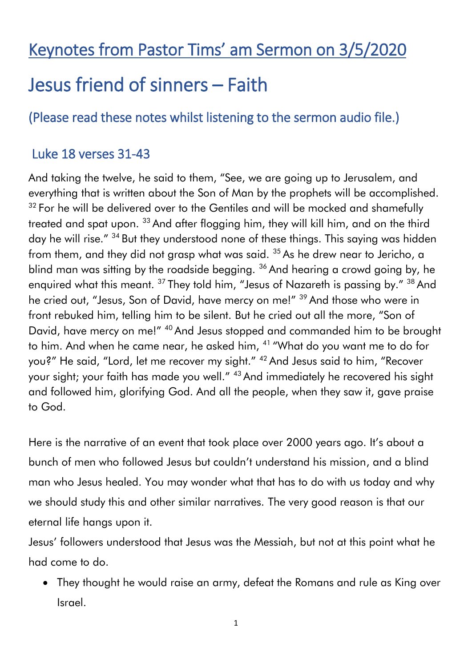## Keynotes from Pastor Tims' am Sermon on 3/5/2020

# Jesus friend of sinners – Faith

### (Please read these notes whilst listening to the sermon audio file.)

#### Luke 18 verses 31-43

And taking the twelve, he said to them, "See, we are going up to Jerusalem, and everything that is written about the Son of Man by the prophets will be accomplished.  $32$  For he will be delivered over to the Gentiles and will be mocked and shamefully treated and spat upon. <sup>33</sup> And after flogging him, they will kill him, and on the third day he will rise." <sup>34</sup> But they understood none of these things. This saying was hidden from them, and they did not grasp what was said.  $35$  As he drew near to Jericho, a blind man was sitting by the roadside begging. <sup>36</sup> And hearing a crowd going by, he enquired what this meant. <sup>37</sup> They told him, "Jesus of Nazareth is passing by." <sup>38</sup> And he cried out, "Jesus, Son of David, have mercy on me!" <sup>39</sup> And those who were in front rebuked him, telling him to be silent. But he cried out all the more, "Son of David, have mercy on me!" <sup>40</sup> And Jesus stopped and commanded him to be brought to him. And when he came near, he asked him, <sup>41</sup> "What do you want me to do for you?" He said, "Lord, let me recover my sight." <sup>42</sup> And Jesus said to him, "Recover your sight; your faith has made you well." <sup>43</sup> And immediately he recovered his sight and followed him, glorifying God. And all the people, when they saw it, gave praise to God.

Here is the narrative of an event that took place over 2000 years ago. It's about a bunch of men who followed Jesus but couldn't understand his mission, and a blind man who Jesus healed. You may wonder what that has to do with us today and why we should study this and other similar narratives. The very good reason is that our eternal life hangs upon it.

Jesus' followers understood that Jesus was the Messiah, but not at this point what he had come to do.

 They thought he would raise an army, defeat the Romans and rule as King over Israel.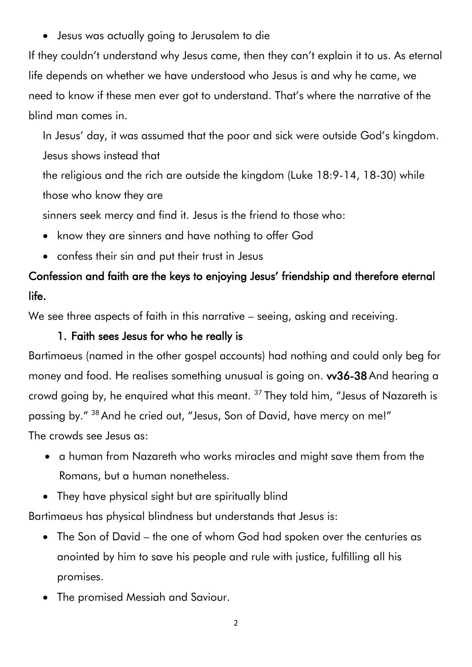Jesus was actually going to Jerusalem to die

If they couldn't understand why Jesus came, then they can't explain it to us. As eternal life depends on whether we have understood who Jesus is and why he came, we need to know if these men ever got to understand. That's where the narrative of the blind man comes in.

In Jesus' day, it was assumed that the poor and sick were outside God's kingdom. Jesus shows instead that

the religious and the rich are outside the kingdom (Luke 18:9-14, 18-30) while those who know they are

sinners seek mercy and find it. Jesus is the friend to those who:

- know they are sinners and have nothing to offer God
- confess their sin and put their trust in Jesus

## Confession and faith are the keys to enjoying Jesus' friendship and therefore eternal life.

We see three aspects of faith in this narrative – seeing, asking and receiving.

#### 1. Faith sees Jesus for who he really is

Bartimaeus (named in the other gospel accounts) had nothing and could only beg for money and food. He realises something unusual is going on. w36-38 And hearing a crowd going by, he enquired what this meant. <sup>37</sup> They told him, "Jesus of Nazareth is passing by." <sup>38</sup> And he cried out, "Jesus, Son of David, have mercy on me!" The crowds see Jesus as:

- a human from Nazareth who works miracles and might save them from the Romans, but a human nonetheless.
- They have physical sight but are spiritually blind

Bartimaeus has physical blindness but understands that Jesus is:

- The Son of David the one of whom God had spoken over the centuries as anointed by him to save his people and rule with justice, fulfilling all his promises.
- The promised Messiah and Saviour.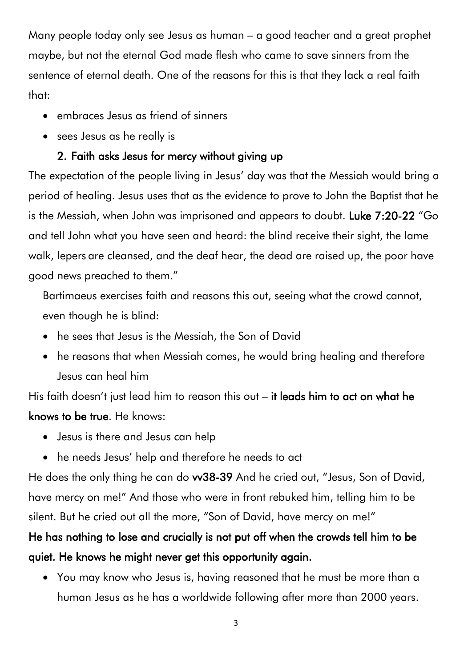Many people today only see Jesus as human – a good teacher and a great prophet maybe, but not the eternal God made flesh who came to save sinners from the sentence of eternal death. One of the reasons for this is that they lack a real faith that:

- embraces Jesus as friend of sinners
- sees Jesus as he really is

#### 2. Faith asks Jesus for mercy without giving up

The expectation of the people living in Jesus' day was that the Messiah would bring a period of healing. Jesus uses that as the evidence to prove to John the Baptist that he is the Messiah, when John was imprisoned and appears to doubt. Luke 7:20-22 "Go and tell John what you have seen and heard: the blind receive their sight, the lame walk, lepers are cleansed, and the deaf hear, the dead are raised up, the poor have good news preached to them."

Bartimaeus exercises faith and reasons this out, seeing what the crowd cannot, even though he is blind:

- he sees that Jesus is the Messiah, the Son of David
- he reasons that when Messiah comes, he would bring healing and therefore Jesus can heal him

His faith doesn't just lead him to reason this out – it leads him to act on what he knows to be true. He knows:

- Jesus is there and Jesus can help
- he needs Jesus' help and therefore he needs to act

He does the only thing he can do vv38-39 And he cried out, "Jesus, Son of David, have mercy on me!" And those who were in front rebuked him, telling him to be silent. But he cried out all the more, "Son of David, have mercy on me!"

## He has nothing to lose and crucially is not put off when the crowds tell him to be quiet. He knows he might never get this opportunity again.

 You may know who Jesus is, having reasoned that he must be more than a human Jesus as he has a worldwide following after more than 2000 years.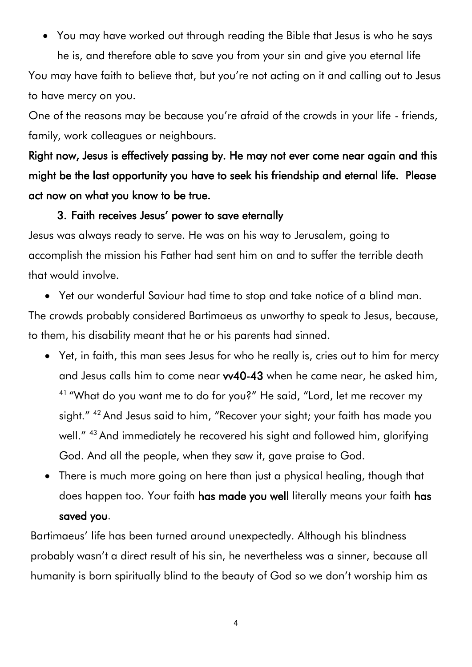You may have worked out through reading the Bible that Jesus is who he says

he is, and therefore able to save you from your sin and give you eternal life You may have faith to believe that, but you're not acting on it and calling out to Jesus to have mercy on you.

One of the reasons may be because you're afraid of the crowds in your life - friends, family, work colleagues or neighbours.

Right now, Jesus is effectively passing by. He may not ever come near again and this might be the last opportunity you have to seek his friendship and eternal life. Please act now on what you know to be true.

#### 3. Faith receives Jesus' power to save eternally

Jesus was always ready to serve. He was on his way to Jerusalem, going to accomplish the mission his Father had sent him on and to suffer the terrible death that would involve.

Yet our wonderful Saviour had time to stop and take notice of a blind man.

The crowds probably considered Bartimaeus as unworthy to speak to Jesus, because, to them, his disability meant that he or his parents had sinned.

- Yet, in faith, this man sees Jesus for who he really is, cries out to him for mercy and Jesus calls him to come near vv40-43 when he came near, he asked him, <sup>41</sup> "What do you want me to do for you?" He said, "Lord, let me recover my sight." <sup>42</sup> And Jesus said to him, "Recover your sight; your faith has made you well." <sup>43</sup> And immediately he recovered his sight and followed him, glorifying God. And all the people, when they saw it, gave praise to God.
- There is much more going on here than just a physical healing, though that does happen too. Your faith has made you well literally means your faith has saved you.

Bartimaeus' life has been turned around unexpectedly. Although his blindness probably wasn't a direct result of his sin, he nevertheless was a sinner, because all humanity is born spiritually blind to the beauty of God so we don't worship him as

4